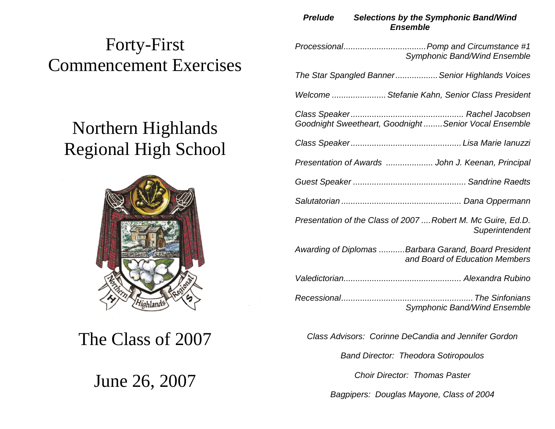# Forty-First Commencement Exercises

# Northern Highlands Regional High School



The Class of 2007

June 26, 2007

### *Prelude Selections by the Symphonic Band/Wind Ensemble*

| <b>Symphonic Band/Wind Ensemble</b>                                                    |  |
|----------------------------------------------------------------------------------------|--|
| The Star Spangled BannerSenior Highlands Voices                                        |  |
| Welcome  Stefanie Kahn, Senior Class President                                         |  |
| Goodnight Sweetheart, Goodnight  Senior Vocal Ensemble                                 |  |
|                                                                                        |  |
| Presentation of Awards  John J. Keenan, Principal                                      |  |
|                                                                                        |  |
|                                                                                        |  |
| Presentation of the Class of 2007  Robert M. Mc Guire, Ed.D.<br>Superintendent         |  |
| Awarding of Diplomas Barbara Garand, Board President<br>and Board of Education Members |  |
|                                                                                        |  |
| <b>Symphonic Band/Wind Ensemble</b>                                                    |  |
|                                                                                        |  |

*Class Advisors: Corinne DeCandia and Jennifer Gordon*

*Band Director: Theodora Sotiropoulos* 

*Choir Director: Thomas Paster*

*Bagpipers: Douglas Mayone, Class of 2004*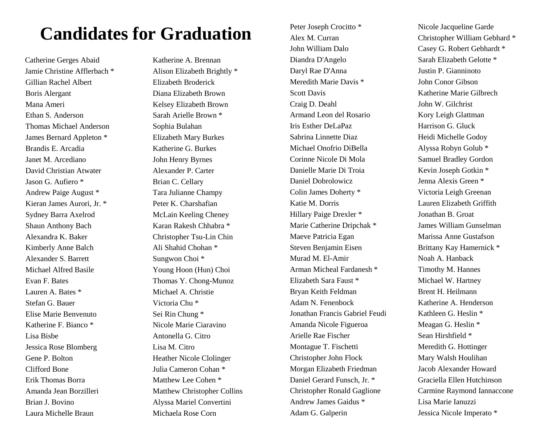# **Candidates for Graduation**

Catherine Gerges Abaid Katherine A. Brennan Jamie Christine Afflerbach \* Alison Elizabeth Brightly \* Gillian Rachel Albert Elizabeth Broderick Boris Alergant Diana Elizabeth Brown Mana Ameri Kelsey Elizabeth Brown Ethan S. Anderson Sarah Arielle Brown \* Thomas Michael Anderson Sophia Bulahan James Bernard Appleton \* Elizabeth Mary Burkes Brandis E. Arcadia Katherine G. Burkes Janet M. Arcediano John Henry Byrnes David Christian Atwater Alexander P. Carter Jason G. Aufiero \* Brian C. Cellary Andrew Paige August \* Tara Julianne Champy Kieran James Aurori, Jr. \* Peter K. Charshafian Sydney Barra Axelrod McLain Keeling Cheney Shaun Anthony Bach Karan Rakesh Chhabra \* Alexandra K. Baker Christopher Tsu-Lin Chin Kimberly Anne Balch Ali Shahid Chohan \* Alexander S. Barrett Sungwon Choi \* Michael Alfred Basile Young Hoon (Hun) Choi Evan F. Bates Thomas Y. Chong-Munoz Lauren A. Bates \* Michael A. Christie Stefan G. Bauer Victoria Chu \* Elise Marie Benvenuto Sei Rin Chung \* Katherine F. Bianco \* Nicole Marie Ciaravino Lisa Bisbe Antonella G. Citro Jessica Rose Blomberg Lisa M. Citro Gene P. Bolton Heather Nicole Clolinger Clifford Bone Julia Cameron Cohan \* Erik Thomas Borra Matthew Lee Cohen \* Brian J. Bovino Alyssa Mariel Convertini Laura Michelle Braun Michaela Rose Corn

Amanda Jean Borzilleri Matthew Christopher Collins

John William Dalo Casey G. Robert Gebhardt \* Diandra D'Angelo Sarah Elizabeth Gelotte \* Daryl Rae D'Anna Justin P. Gianninoto Meredith Marie Davis \* John Conor Gibson Scott Davis Katherine Marie Gilbrech Craig D. Deahl John W. Gilchrist Armand Leon del Rosario Kory Leigh Glattman Iris Esther DeLaPaz Harrison G. Gluck Sabrina Linnette Diaz Heidi Michelle Godoy Michael Onofrio DiBella Alyssa Robyn Golub \* Corinne Nicole Di Mola Samuel Bradley Gordon Danielle Marie Di Troia Kevin Joseph Gotkin \* Daniel Dobrolowicz Jenna Alexis Green \* Colin James Doherty \* Victoria Leigh Greenan Katie M. Dorris Lauren Elizabeth Griffith Hillary Paige Drexler \* Jonathan B. Groat Marie Catherine Dripchak \* James William Gunselman Maeve Patricia Egan Marissa Anne Gustafson Steven Benjamin Eisen Brittany Kay Hamernick \* Murad M. El-Amir Noah A. Hanback Arman Micheal Fardanesh \* Timothy M. Hannes Elizabeth Sara Faust \* Michael W. Hartney Bryan Keith Feldman Brent H. Heilmann Adam N. Fenenbock Katherine A. Henderson Jonathan Francis Gabriel Feudi Kathleen G. Heslin \* Amanda Nicole Figueroa Meagan G. Heslin \* Arielle Rae Fischer Sean Hirshfield \* Montague T. Fischetti Meredith G. Hottinger Christopher John Flock Mary Walsh Houlihan Morgan Elizabeth Friedman Jacob Alexander Howard Daniel Gerard Funsch, Jr. \* Graciella Ellen Hutchinson Andrew James Gaidus \* Lisa Marie Ianuzzi Adam G. Galperin Jessica Nicole Imperato \*

Peter Joseph Crocitto \* Nicole Jacqueline Garde Alex M. Curran Christopher William Gebhard \* Christopher Ronald Gaglione Carmine Raymond Iannaccone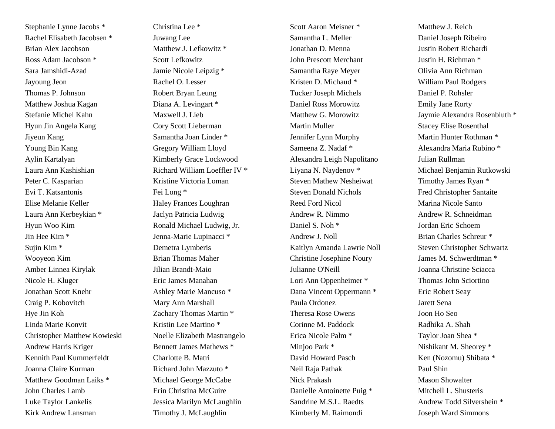Stephanie Lynne Jacobs \* Christina Lee \* Rachel Elisabeth Jacobsen \* Juwang Lee Brian Alex Jacobson Matthew J. Lefkowitz \* Ross Adam Jacobson \* Scott Lefkowitz Sara Jamshidi-Azad Jamie Nicole Leipzig \* Jayoung Jeon Rachel O. Lesser Thomas P. Johnson Robert Bryan Leung Matthew Joshua Kagan Diana A. Levingart \* Stefanie Michel Kahn Maxwell J. Lieb Hyun Jin Angela Kang Cory Scott Lieberman Jiyeun Kang Samantha Joan Linder \* Young Bin Kang Gregory William Lloyd Aylin Kartalyan Kimberly Grace Lockwood Laura Ann Kashishian Richard William Loeffler IV \* Peter C. Kasparian Kristine Victoria Loman Evi T. Katsantonis Fei Long \* Elise Melanie Keller Haley Frances Loughran Laura Ann Kerbeykian \* Jaclyn Patricia Ludwig Hyun Woo Kim Ronald Michael Ludwig, Jr. Jin Hee Kim \* Jenna-Marie Lupinacci \* Sujin Kim \* Demetra Lymberis Wooyeon Kim Brian Thomas Maher Amber Linnea Kirylak Jilian Brandt-Maio Nicole H. Kluger **Eric James Manahan** Jonathan Scott Knehr Ashley Marie Mancuso \* Craig P. Kobovitch Mary Ann Marshall Hye Jin Koh Zachary Thomas Martin \* Linda Marie Konvit Kristin Lee Martino \* Christopher Matthew Kowieski Noelle Elizabeth Mastrangelo Andrew Harris Kriger Bennett James Mathews \* Kennith Paul Kummerfeldt Charlotte B. Matri Joanna Claire Kurman Richard John Mazzuto \* Matthew Goodman Laiks \* Michael George McCabe John Charles Lamb Erin Christina McGuire Luke Taylor Lankelis Jessica Marilyn McLaughlin Kirk Andrew Lansman Timothy J. McLaughlin

Scott Aaron Meisner \* Matthew J. Reich Samantha L. Meller Daniel Joseph Ribeiro Jonathan D. Menna Justin Robert Richardi John Prescott Merchant Justin H. Richman \* Samantha Raye Meyer Olivia Ann Richman Kristen D. Michaud \* William Paul Rodgers Tucker Joseph Michels Daniel P. Rohsler Daniel Ross Morowitz Emily Jane Rorty Martin Muller Stacey Elise Rosenthal Jennifer Lynn Murphy Martin Hunter Rothman \* Sameena Z. Nadaf \* Alexandra Maria Rubino \* Alexandra Leigh Napolitano Julian Rullman Steven Mathew Nesheiwat Timothy James Ryan \* Steven Donald Nichols Fred Christopher Santaite Reed Ford Nicol Marina Nicole Santo Andrew R. Nimmo Andrew R. Schneidman Daniel S. Noh \* Jordan Eric Schoem Andrew J. Noll Brian Charles Schreur \* Christine Josephine Noury James M. Schwerdtman \* Julianne O'Neill Joanna Christine Sciacca Lori Ann Oppenheimer \* Thomas John Sciortino Dana Vincent Oppermann \* Eric Robert Seay Paula Ordonez Jarett Sena Theresa Rose Owens Joon Ho Seo Corinne M. Paddock Radhika A. Shah Erica Nicole Palm \* Taylor Joan Shea \* Minjoo Park \* Nishikant M. Sheorey \* David Howard Pasch Ken (Nozomu) Shibata \* Neil Raja Pathak Paul Shin Nick Prakash Mason Showalter Danielle Antoinette Puig \* Mitchell L. Shusteris Kimberly M. Raimondi Joseph Ward Simmons

Matthew G. Morowitz Jaymie Alexandra Rosenbluth \* Liyana N. Naydenov \* Michael Benjamin Rutkowski Kaitlyn Amanda Lawrie Noll Steven Christopher Schwartz Sandrine M.S.L. Raedts Andrew Todd Silvershein \*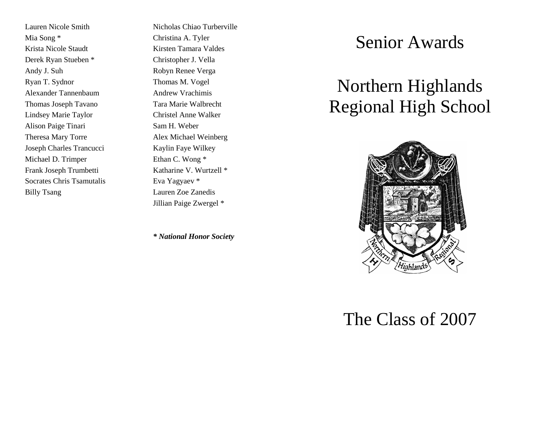Mia Song \* Christina A. Tyler Krista Nicole Staudt Kirsten Tamara Valdes Derek Ryan Stueben \* Christopher J. Vella Andy J. Suh Robyn Renee Verga Ryan T. Sydnor Thomas M. Vogel Alexander Tannenbaum Andrew Vrachimis Thomas Joseph Tavano Tara Marie Walbrecht Lindsey Marie Taylor Christel Anne Walker Alison Paige Tinari Sam H. Weber Theresa Mary Torre Alex Michael Weinberg Joseph Charles Trancucci Kaylin Faye Wilkey Michael D. Trimper Ethan C. Wong \* Frank Joseph Trumbetti Katharine V. Wurtzell \* Socrates Chris Tsamutalis Eva Yagyaev \* Billy Tsang Lauren Zoe Zanedis

Lauren Nicole Smith Nicholas Chiao Turberville Jillian Paige Zwergel \*

*\* National Honor Society*

## Senior Awards

# Northern Highlands Regional High School



# The Class of 2007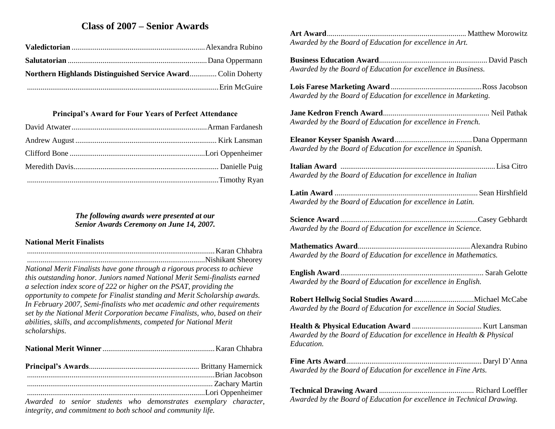## **Class of 2007 – Senior Awards**

| Northern Highlands Distinguished Service Award Colin Doherty |  |
|--------------------------------------------------------------|--|
|                                                              |  |

#### **Principal's Award for Four Years of Perfect Attendance**

#### *The following awards were presented at our Senior Awards Ceremony on June 14, 2007.*

### **National Merit Finalists**

| танонаг глене типанде                                                       |  |
|-----------------------------------------------------------------------------|--|
|                                                                             |  |
|                                                                             |  |
| National Merit Finalists have gone through a rigorous process to achieve    |  |
| this outstanding honor. Juniors named National Merit Semi-finalists earned  |  |
| a selection index score of 222 or higher on the PSAT, providing the         |  |
| opportunity to compete for Finalist standing and Merit Scholarship awards.  |  |
| In February 2007, Semi-finalists who met academic and other requirements    |  |
| set by the National Merit Corporation became Finalists, who, based on their |  |
| abilities, skills, and accomplishments, competed for National Merit         |  |
| scholarships.                                                               |  |
|                                                                             |  |
|                                                                             |  |
|                                                                             |  |
|                                                                             |  |
|                                                                             |  |

*Awarded to senior students who demonstrates exemplary character, integrity, and commitment to both school and community life.*

**Art Award**........................................................................ Matthew Morowitz *Awarded by the Board of Education for excellence in Art.*

**Business Education Award**........................................................David Pasch *Awarded by the Board of Education for excellence in Business.*

**Lois Farese Marketing Award**...............................................Ross Jacobson *Awarded by the Board of Education for excellence in Marketing.*

**Jane Kedron French Award**....................................................... Neil Pathak *Awarded by the Board of Education for excellence in French.*

**Eleanor Keyser Spanish Award**........................................Dana Oppermann *Awarded by the Board of Education for excellence in Spanish.*

**Italian Award** ................................................................................Lisa Citro *Awarded by the Board of Education for excellence in Italian*

**Latin Award** .......................................................................... Sean Hirshfield *Awarded by the Board of Education for excellence in Latin.*

**Science Award** .......................................................................Casey Gebhardt *Awarded by the Board of Education for excellence in Science.*

**Mathematics Award**..........................................................Alexandra Rubino *Awarded by the Board of Education for excellence in Mathematics.*

**English Award**.......................................................................... Sarah Gelotte *Awarded by the Board of Education for excellence in English.*

**Robert Hellwig Social Studies Award** ...............................Michael McCabe *Awarded by the Board of Education for excellence in Social Studies.*

**Health & Physical Education Award** .................................... Kurt Lansman *Awarded by the Board of Education for excellence in Health & Physical Education.*

**Fine Arts Award**...................................................................... Daryl D'Anna *Awarded by the Board of Education for excellence in Fine Arts.*

**Technical Drawing Award** ................................................. Richard Loeffler *Awarded by the Board of Education for excellence in Technical Drawing.*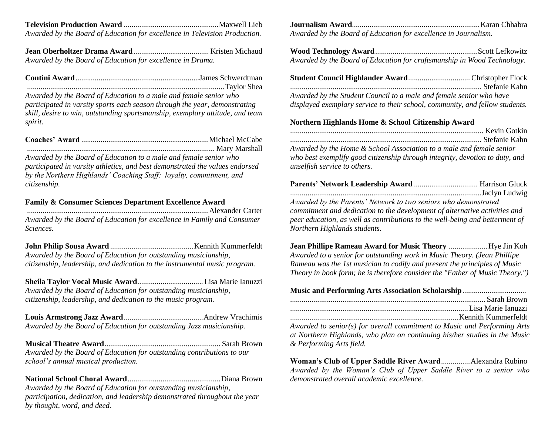**Television Production Award** .................................................Maxwell Lieb *Awarded by the Board of Education for excellence in Television Production.*

**Jean Oberholtzer Drama Award**....................................... Kristen Michaud *Awarded by the Board of Education for excellence in Drama.*

*Awarded by the Board of Education to a male and female senior who participated in varsity sports each season through the year, demonstrating skill, desire to win, outstanding sportsmanship, exemplary attitude, and team spirit.*

| Mary Marshall |  |
|---------------|--|

*Awarded by the Board of Education to a male and female senior who participated in varsity athletics, and best demonstrated the values endorsed by the Northern Highlands' Coaching Staff: loyalty, commitment, and citizenship.*

#### **Family & Consumer Sciences Department Excellence Award**

..............................................................................................Alexander Carter *Awarded by the Board of Education for excellence in Family and Consumer Sciences.*

**John Philip Sousa Award** ...........................................Kennith Kummerfeldt *Awarded by the Board of Education for outstanding musicianship, citizenship, leadership, and dedication to the instrumental music program.* 

**Sheila Taylor Vocal Music Award**..................................Lisa Marie Ianuzzi *Awarded by the Board of Education for outstanding musicianship, citizenship, leadership, and dedication to the music program.*

**Louis Armstrong Jazz Award**.........................................Andrew Vrachimis *Awarded by the Board of Education for outstanding Jazz musicianship.*

**Musical Theatre Award**............................................................ Sarah Brown *Awarded by the Board of Education for outstanding contributions to our school's annual musical production.*

**National School Choral Award**................................................Diana Brown *Awarded by the Board of Education for outstanding musicianship, participation, dedication, and leadership demonstrated throughout the year by thought, word, and deed.*

**Journalism Award**..................................................................Karan Chhabra *Awarded by the Board of Education for excellence in Journalism.*

**Wood Technology Award**.....................................................Scott Lefkowitz *Awarded by the Board of Education for craftsmanship in Wood Technology.*

| Awarded by the Student Council to a male and female senior who have |  |
|---------------------------------------------------------------------|--|

*displayed exemplary service to their school, community, and fellow students.*

#### **Northern Highlands Home & School Citizenship Award**

| Awarded by the Home & School Association to a male and female senior |  |
|----------------------------------------------------------------------|--|

*who best exemplify good citizenship through integrity, devotion to duty, and unselfish service to others.*

| Awarded by the Parents' Network to two seniors who demonstrated              |  |
|------------------------------------------------------------------------------|--|
| commitment and dedication to the development of alternative activities and   |  |
| peer education, as well as contributions to the well-being and betterment of |  |
| Northern Highlands students.                                                 |  |
|                                                                              |  |

**Jean Phillipe Rameau Award for Music Theory** ....................Hye Jin Koh *Awarded to a senior for outstanding work in Music Theory. (Jean Phillipe Rameau was the 1st musician to codify and present the principles of Music Theory in book form; he is therefore consider the "Father of Music Theory.")*

#### **Music and Performing Arts Association Scholarship**.................................

*Awarded to senior(s) for overall commitment to Music and Performing Arts at Northern Highlands, who plan on continuing his/her studies in the Music & Performing Arts field.*

**Woman's Club of Upper Saddle River Award**...............Alexandra Rubino *Awarded by the Woman's Club of Upper Saddle River to a senior who demonstrated overall academic excellence.*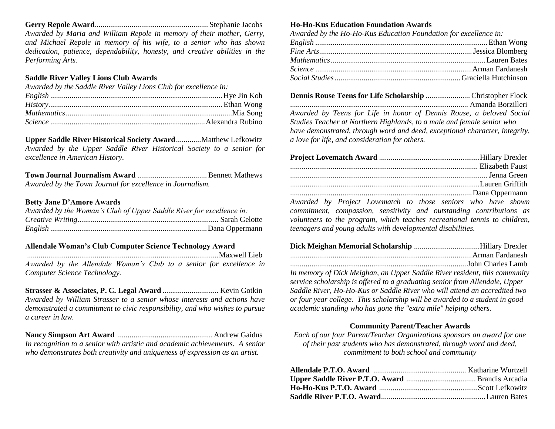**Gerry Repole Award**...........................................................Stephanie Jacobs *Awarded by Maria and William Repole in memory of their mother, Gerry, and Michael Repole in memory of his wife, to a senior who has shown dedication, patience, dependability, honesty, and creative abilities in the Performing Arts.*

#### **Saddle River Valley Lions Club Awards**

| Awarded by the Saddle River Valley Lions Club for excellence in: |  |
|------------------------------------------------------------------|--|
|                                                                  |  |
|                                                                  |  |
|                                                                  |  |
|                                                                  |  |

**Upper Saddle River Historical Society Award**.............Matthew Lefkowitz *Awarded by the Upper Saddle River Historical Society to a senior for excellence in American History.*

**Town Journal Journalism Award** ....................................Bennett Mathews *Awarded by the Town Journal for excellence in Journalism.*

#### **Betty Jane D'Amore Awards**

| Awarded by the Woman's Club of Upper Saddle River for excellence in: |  |
|----------------------------------------------------------------------|--|
|                                                                      |  |
|                                                                      |  |

#### **Allendale Woman's Club Computer Science Technology Award**

...................................................................................................Maxwell Lieb *Awarded by the Allendale Woman's Club to a senior for excellence in Computer Science Technology.*

**Strasser & Associates, P. C. Legal Award** ............................. Kevin Gotkin *Awarded by William Strasser to a senior whose interests and actions have demonstrated a commitment to civic responsibility, and who wishes to pursue a career in law.*

**Nancy Simpson Art Award** .................................................Andrew Gaidus *In recognition to a senior with artistic and academic achievements. A senior who demonstrates both creativity and uniqueness of expression as an artist.*

#### **Ho-Ho-Kus Education Foundation Awards**

| Awarded by the Ho-Ho-Kus Education Foundation for excellence in: |  |
|------------------------------------------------------------------|--|
|                                                                  |  |
|                                                                  |  |
|                                                                  |  |
|                                                                  |  |
|                                                                  |  |

**Dennis Rouse Teens for Life Scholarship** ....................... Christopher Flock ............................................................................................ Amanda Borzilleri *Awarded by Teens for Life in honor of Dennis Rouse, a beloved Social Studies Teacher at Northern Highlands, to a male and female senior who have demonstrated, through word and deed, exceptional character, integrity, a love for life, and consideration for others.*

|  | Awarded by Project Lovematch to those seniors who have shown<br>1000 - 1000 - 1000 - 1000 - 1000 - 1000 - 1000 - 1000 - 1000 - 1000 - 1000 - 1000 - 1000 - 1000 - 1000 - 1000 - 1000 - 1000 - 1000 - 1000 - 1000 - 1000 - 1000 - 1000 - 1000 - 1000 - 100 |  |  |  |  |  |  |  |  |
|--|-----------------------------------------------------------------------------------------------------------------------------------------------------------------------------------------------------------------------------------------------------------|--|--|--|--|--|--|--|--|

*commitment, compassion, sensitivity and outstanding contributions as volunteers to the program, which teaches recreational tennis to children, teenagers and young adults with developmental disabilities.*

| In memory of Dick Meighan, an Upper Saddle River resident, this community<br>المستحدث والمستحدث والمستحدث والمستحدث والمستحدث والمستحدث والمستحدث والمستحدث والمستحدث والمستحدث |  |
|---------------------------------------------------------------------------------------------------------------------------------------------------------------------------------|--|

*service scholarship is offered to a graduating senior from Allendale, Upper Saddle River, Ho-Ho-Kus or Saddle River who will attend an accredited two or four year college. This scholarship will be awarded to a student in good academic standing who has gone the "extra mile" helping others.*

#### **Community Parent/Teacher Awards**

*Each of our four Parent/Teacher Organizations sponsors an award for one of their past students who has demonstrated, through word and deed, commitment to both school and community*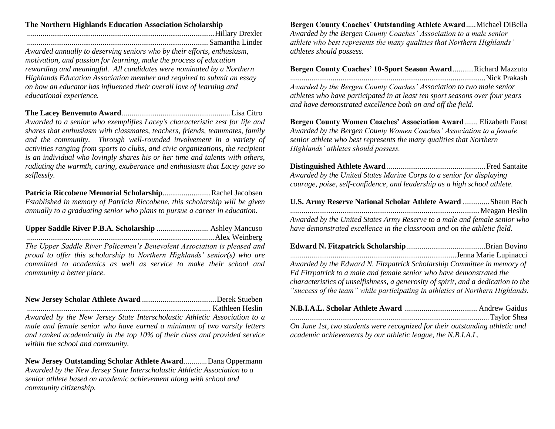#### **The Northern Highlands Education Association Scholarship**

.................................................................................................Hillary Drexler

..............................................................................................Samantha Linder *Awarded annually to deserving seniors who by their efforts, enthusiasm, motivation, and passion for learning, make the process of education rewarding and meaningful. All candidates were nominated by a Northern Highlands Education Association member and required to submit an essay on how an educator has influenced their overall love of learning and educational experience.*

**The Lacey Benvenuto Award**........................................................Lisa Citro *Awarded to a senior who exemplifies Lacey's characteristic zest for life and shares that enthusiasm with classmates, teachers, friends, teammates, family and the community. Through well-rounded involvement in a variety of activities ranging from sports to clubs, and civic organizations, the recipient is an individual who lovingly shares his or her time and talents with others, radiating the warmth, caring, exuberance and enthusiasm that Lacey gave so selflessly.*

**Patricia Riccobene Memorial Scholarship**.........................Rachel Jacobsen *Established in memory of Patricia Riccobene, this scholarship will be given annually to a graduating senior who plans to pursue a career in education.*

**Upper Saddle River P.B.A. Scholarship** ........................... Ashley Mancuso .................................................................................................Alex Weinberg *The Upper Saddle River Policemen's Benevolent Association is pleased and proud to offer this scholarship to Northern Highlands' senior(s) who are committed to academics as well as service to make their school and community a better place.*

### **New Jersey Scholar Athlete Award**.......................................Derek Stueben

............................................................................................... Kathleen Heslin

*Awarded by the New Jersey State Interscholastic Athletic Association to a male and female senior who have earned a minimum of two varsity letters and ranked academically in the top 10% of their class and provided service within the school and community.*

**New Jersey Outstanding Scholar Athlete Award**............Dana Oppermann *Awarded by the New Jersey State Interscholastic Athletic Association to a senior athlete based on academic achievement along with school and community citizenship.*

**Bergen County Coaches' Outstanding Athlete Award**.....Michael DiBella *Awarded by the Bergen County Coaches' Association to a male senior athlete who best represents the many qualities that Northern Highlands' athletes should possess.*

**Bergen County Coaches' 10-Sport Season Award**...........Richard Mazzuto .....................................................................................................Nick Prakash

*Awarded by the Bergen County Coaches' Association to two male senior athletes who have participated in at least ten sport seasons over four years and have demonstrated excellence both on and off the field.*

**Bergen County Women Coaches' Association Award**....... Elizabeth Faust *Awarded by the Bergen County Women Coaches' Association to a female senior athlete who best represents the many qualities that Northern Highlands' athletes should possess.*

**Distinguished Athlete Award** ...................................................Fred Santaite *Awarded by the United States Marine Corps to a senior for displaying courage, poise, self-confidence, and leadership as a high school athlete.*

| U.S. Army Reserve National Scholar Athlete Award  Shaun Bach              |  |
|---------------------------------------------------------------------------|--|
|                                                                           |  |
| Awarded by the United States Army Reserve to a male and female senior who |  |
| have demonstrated excellence in the classroom and on the athletic field.  |  |

| Awarded by the Edward N. Fitzpatrick Scholarship Committee in memory of           |  |
|-----------------------------------------------------------------------------------|--|
| Ed Fitzpatrick to a male and female senior who have demonstrated the              |  |
| characteristics of unselfishness, a generosity of spirit, and a dedication to the |  |
| "success of the team" while participating in athletics at Northern Highlands.     |  |

|  | $\alpha$ is the state of the state $\alpha$ in the state $\alpha$ |  |  |  |  |  |  |
|--|-------------------------------------------------------------------|--|--|--|--|--|--|

*On June 1st, two students were recognized for their outstanding athletic and academic achievements by our athletic league, the N.B.I.A.L.*